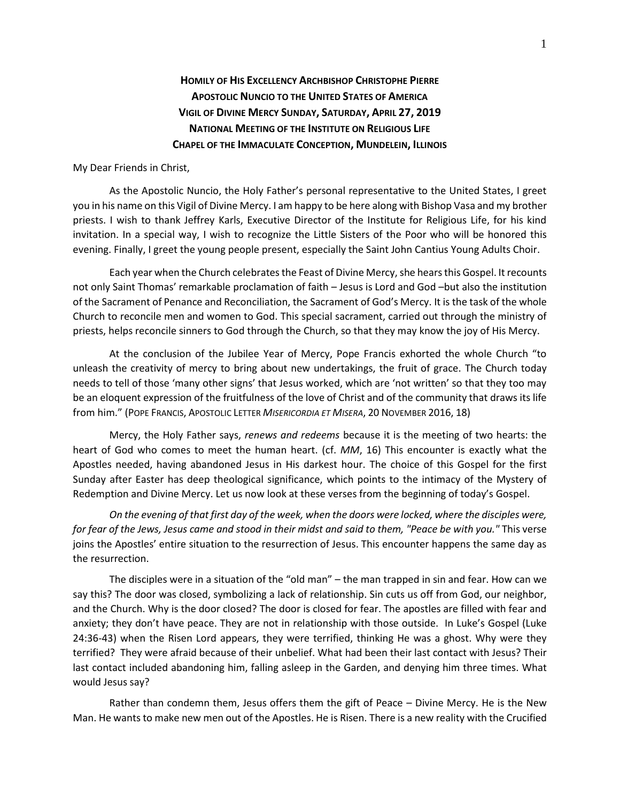## **HOMILY OF HIS EXCELLENCY ARCHBISHOP CHRISTOPHE PIERRE APOSTOLIC NUNCIO TO THE UNITED STATES OF AMERICA VIGIL OF DIVINE MERCY SUNDAY, SATURDAY, APRIL 27, 2019 NATIONAL MEETING OF THE INSTITUTE ON RELIGIOUS LIFE CHAPEL OF THE IMMACULATE CONCEPTION, MUNDELEIN, ILLINOIS**

## My Dear Friends in Christ,

As the Apostolic Nuncio, the Holy Father's personal representative to the United States, I greet you in his name on this Vigil of Divine Mercy. I am happy to be here along with Bishop Vasa and my brother priests. I wish to thank Jeffrey Karls, Executive Director of the Institute for Religious Life, for his kind invitation. In a special way, I wish to recognize the Little Sisters of the Poor who will be honored this evening. Finally, I greet the young people present, especially the Saint John Cantius Young Adults Choir.

Each year when the Church celebrates the Feast of Divine Mercy, she hears this Gospel. It recounts not only Saint Thomas' remarkable proclamation of faith – Jesus is Lord and God –but also the institution of the Sacrament of Penance and Reconciliation, the Sacrament of God's Mercy. It is the task of the whole Church to reconcile men and women to God. This special sacrament, carried out through the ministry of priests, helps reconcile sinners to God through the Church, so that they may know the joy of His Mercy.

At the conclusion of the Jubilee Year of Mercy, Pope Francis exhorted the whole Church "to unleash the creativity of mercy to bring about new undertakings, the fruit of grace. The Church today needs to tell of those 'many other signs' that Jesus worked, which are 'not written' so that they too may be an eloquent expression of the fruitfulness of the love of Christ and of the community that draws its life from him." (POPE FRANCIS, APOSTOLIC LETTER *MISERICORDIA ET MISERA*, 20 NOVEMBER 2016, 18)

Mercy, the Holy Father says, *renews and redeems* because it is the meeting of two hearts: the heart of God who comes to meet the human heart. (cf. *MM*, 16) This encounter is exactly what the Apostles needed, having abandoned Jesus in His darkest hour. The choice of this Gospel for the first Sunday after Easter has deep theological significance, which points to the intimacy of the Mystery of Redemption and Divine Mercy. Let us now look at these verses from the beginning of today's Gospel.

*On the evening of that first day of the week, when the doors were locked, where the disciples were, for fear of the Jews, Jesus came and stood in their midst and said to them, "Peace be with you."* This verse joins the Apostles' entire situation to the resurrection of Jesus. This encounter happens the same day as the resurrection.

The disciples were in a situation of the "old man" – the man trapped in sin and fear. How can we say this? The door was closed, symbolizing a lack of relationship. Sin cuts us off from God, our neighbor, and the Church. Why is the door closed? The door is closed for fear. The apostles are filled with fear and anxiety; they don't have peace. They are not in relationship with those outside. In Luke's Gospel (Luke 24:36-43) when the Risen Lord appears, they were terrified, thinking He was a ghost. Why were they terrified? They were afraid because of their unbelief. What had been their last contact with Jesus? Their last contact included abandoning him, falling asleep in the Garden, and denying him three times. What would Jesus say?

Rather than condemn them, Jesus offers them the gift of Peace – Divine Mercy. He is the New Man. He wants to make new men out of the Apostles. He is Risen. There is a new reality with the Crucified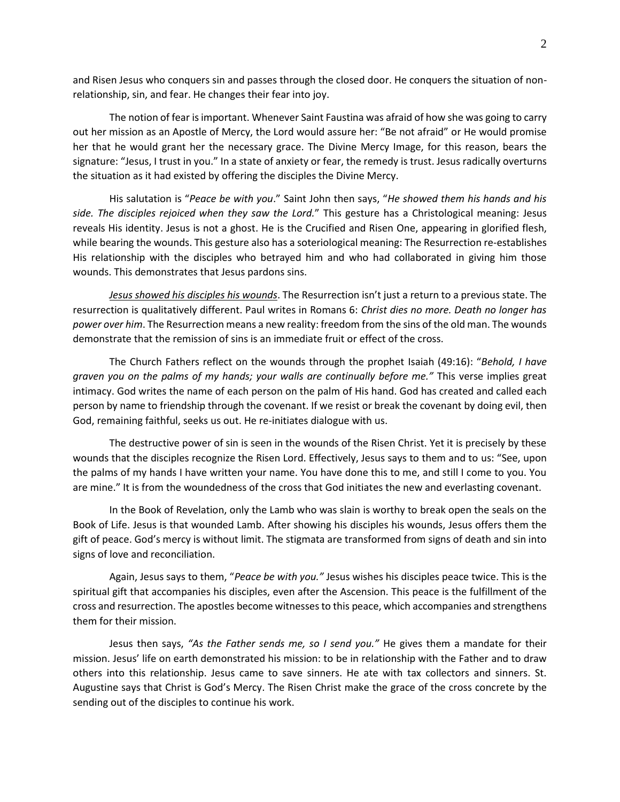and Risen Jesus who conquers sin and passes through the closed door. He conquers the situation of nonrelationship, sin, and fear. He changes their fear into joy.

The notion of fear is important. Whenever Saint Faustina was afraid of how she was going to carry out her mission as an Apostle of Mercy, the Lord would assure her: "Be not afraid" or He would promise her that he would grant her the necessary grace. The Divine Mercy Image, for this reason, bears the signature: "Jesus, I trust in you." In a state of anxiety or fear, the remedy is trust. Jesus radically overturns the situation as it had existed by offering the disciples the Divine Mercy.

His salutation is "*Peace be with you*." Saint John then says, "*He showed them his hands and his side. The disciples rejoiced when they saw the Lord.*" This gesture has a Christological meaning: Jesus reveals His identity. Jesus is not a ghost. He is the Crucified and Risen One, appearing in glorified flesh, while bearing the wounds. This gesture also has a soteriological meaning: The Resurrection re-establishes His relationship with the disciples who betrayed him and who had collaborated in giving him those wounds. This demonstrates that Jesus pardons sins.

*Jesus showed his disciples his wounds*. The Resurrection isn't just a return to a previous state. The resurrection is qualitatively different. Paul writes in Romans 6: *Christ dies no more. Death no longer has power over him*. The Resurrection means a new reality: freedom from the sins of the old man. The wounds demonstrate that the remission of sins is an immediate fruit or effect of the cross.

The Church Fathers reflect on the wounds through the prophet Isaiah (49:16): "*Behold, I have graven you on the palms of my hands; your walls are continually before me."* This verse implies great intimacy. God writes the name of each person on the palm of His hand. God has created and called each person by name to friendship through the covenant. If we resist or break the covenant by doing evil, then God, remaining faithful, seeks us out. He re-initiates dialogue with us.

The destructive power of sin is seen in the wounds of the Risen Christ. Yet it is precisely by these wounds that the disciples recognize the Risen Lord. Effectively, Jesus says to them and to us: "See, upon the palms of my hands I have written your name. You have done this to me, and still I come to you. You are mine." It is from the woundedness of the cross that God initiates the new and everlasting covenant.

In the Book of Revelation, only the Lamb who was slain is worthy to break open the seals on the Book of Life. Jesus is that wounded Lamb. After showing his disciples his wounds, Jesus offers them the gift of peace. God's mercy is without limit. The stigmata are transformed from signs of death and sin into signs of love and reconciliation.

Again, Jesus says to them, "*Peace be with you."* Jesus wishes his disciples peace twice. This is the spiritual gift that accompanies his disciples, even after the Ascension. This peace is the fulfillment of the cross and resurrection. The apostles become witnesses to this peace, which accompanies and strengthens them for their mission.

Jesus then says, *"As the Father sends me, so I send you."* He gives them a mandate for their mission. Jesus' life on earth demonstrated his mission: to be in relationship with the Father and to draw others into this relationship. Jesus came to save sinners. He ate with tax collectors and sinners. St. Augustine says that Christ is God's Mercy. The Risen Christ make the grace of the cross concrete by the sending out of the disciples to continue his work.